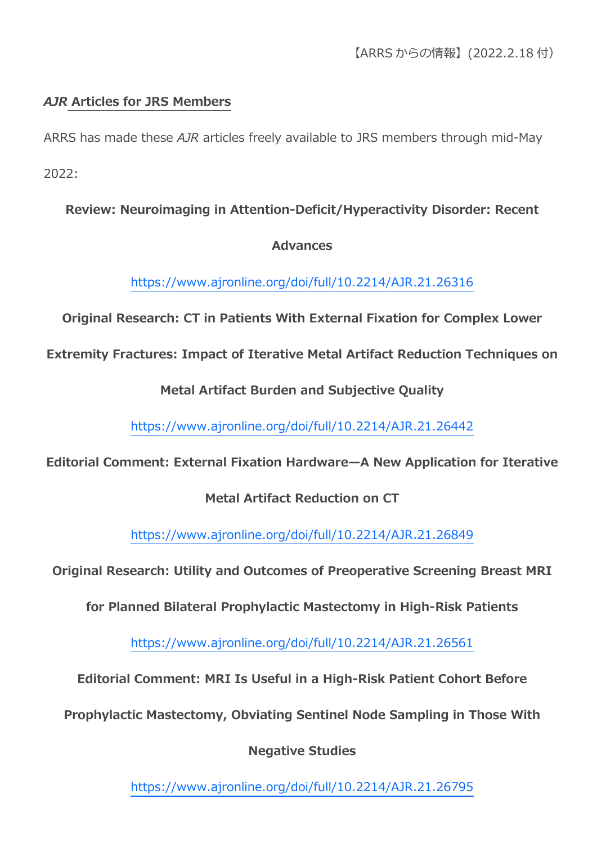# *AJR* **Articles for JRS Members**

ARRS has made these *AJR* articles freely available to JRS members through mid-May 2022:

# **Review: Neuroimaging in Attention-Deficit/Hyperactivity Disorder: Recent**

### **Advances**

<https://www.ajronline.org/doi/full/10.2214/AJR.21.26316>

**Original Research: CT in Patients With External Fixation for Complex Lower** 

**Extremity Fractures: Impact of Iterative Metal Artifact Reduction Techniques on** 

**Metal Artifact Burden and Subjective Quality**

<https://www.ajronline.org/doi/full/10.2214/AJR.21.26442>

# **Editorial Comment: External Fixation Hardware—A New Application for Iterative**

# **Metal Artifact Reduction on CT**

<https://www.ajronline.org/doi/full/10.2214/AJR.21.26849>

**Original Research: Utility and Outcomes of Preoperative Screening Breast MRI** 

**for Planned Bilateral Prophylactic Mastectomy in High-Risk Patients**

<https://www.ajronline.org/doi/full/10.2214/AJR.21.26561>

**Editorial Comment: MRI Is Useful in a High-Risk Patient Cohort Before** 

**Prophylactic Mastectomy, Obviating Sentinel Node Sampling in Those With** 

**Negative Studies**

<https://www.ajronline.org/doi/full/10.2214/AJR.21.26795>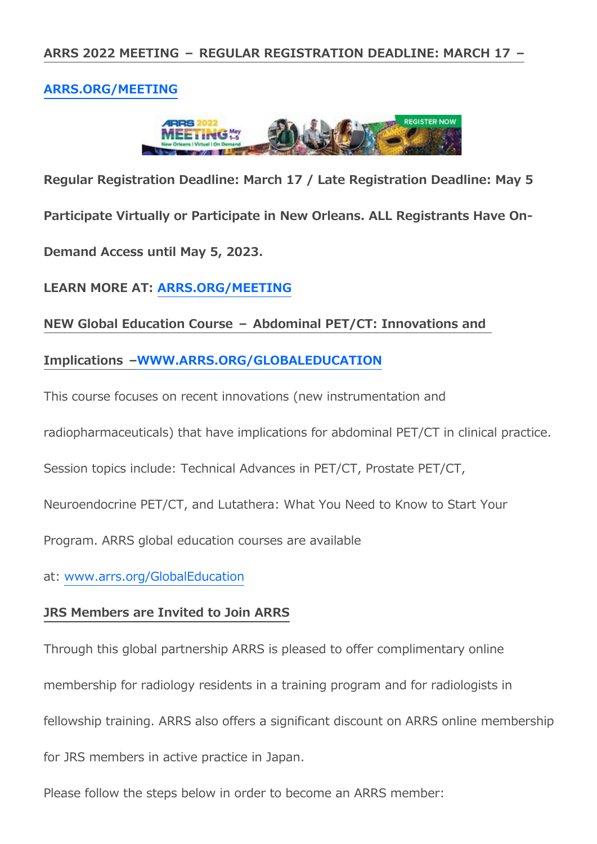### **[ARRS.ORG/MEETING](https://www2.arrs.org/am22/)**



**Regular Registration Deadline: March 17 / Late Registration Deadline: May 5 Participate Virtually or Participate in New Orleans. ALL Registrants Have On-Demand Access until May 5, 2023.**

**LEARN MORE AT: [ARRS.ORG/MEETING](https://www2.arrs.org/am22/)**

#### **NEW Global Education Course – Abdominal PET/CT: Innovations and**

#### **Implications [–WWW.ARRS.ORG/GLOBALEDUCATION](https://www.arrs.org/GLOBALEDUCATION)**

This course focuses on recent innovations (new instrumentation and

radiopharmaceuticals) that have implications for abdominal PET/CT in clinical practice.

Session topics include: Technical Advances in PET/CT, Prostate PET/CT,

Neuroendocrine PET/CT, and Lutathera: What You Need to Know to Start Your

Program. ARRS global education courses are available

at: [www.arrs.org/GlobalEducation](https://www.arrs.org/GlobalEducation)

#### **JRS Members are Invited to Join ARRS**

Through this global partnership ARRS is pleased to offer complimentary online membership for radiology residents in a training program and for radiologists in fellowship training. ARRS also offers a significant discount on ARRS online membership for JRS members in active practice in Japan.

Please follow the steps below in order to become an ARRS member: